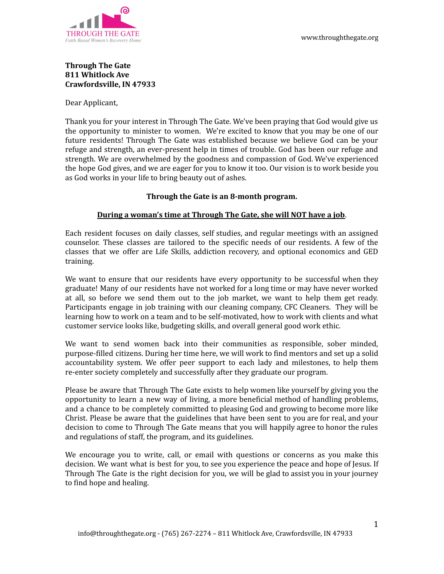

### **Through The Gate 811 Whitlock Ave Crawfordsville, IN 47933**

Dear Applicant,

Thank you for your interest in Through The Gate. We've been praying that God would give us the opportunity to minister to women. We're excited to know that you may be one of our future residents! Through The Gate was established because we believe God can be your refuge and strength, an ever-present help in times of trouble. God has been our refuge and strength. We are overwhelmed by the goodness and compassion of God. We've experienced the hope God gives, and we are eager for you to know it too. Our vision is to work beside you as God works in your life to bring beauty out of ashes.

### **Through the Gate is an 8-month program.**

### **During a woman's time at Through The Gate, she will NOT have a job**.

Each resident focuses on daily classes, self studies, and regular meetings with an assigned counselor. These classes are tailored to the specific needs of our residents. A few of the classes that we offer are Life Skills, addiction recovery, and optional economics and GED training.

We want to ensure that our residents have every opportunity to be successful when they graduate! Many of our residents have not worked for a long time or may have never worked at all, so before we send them out to the job market, we want to help them get ready. Participants engage in job training with our cleaning company, CFC Cleaners. They will be learning how to work on a team and to be self-motivated, how to work with clients and what customer service looks like, budgeting skills, and overall general good work ethic.

We want to send women back into their communities as responsible, sober minded, purpose-filled citizens. During her time here, we will work to find mentors and set up a solid accountability system. We offer peer support to each lady and milestones, to help them re-enter society completely and successfully after they graduate our program.

Please be aware that Through The Gate exists to help women like yourself by giving you the opportunity to learn a new way of living, a more beneficial method of handling problems, and a chance to be completely committed to pleasing God and growing to become more like Christ. Please be aware that the guidelines that have been sent to you are for real, and your decision to come to Through The Gate means that you will happily agree to honor the rules and regulations of staff, the program, and its guidelines.

We encourage you to write, call, or email with questions or concerns as you make this decision. We want what is best for you, to see you experience the peace and hope of Jesus. If Through The Gate is the right decision for you, we will be glad to assist you in your journey to find hope and healing.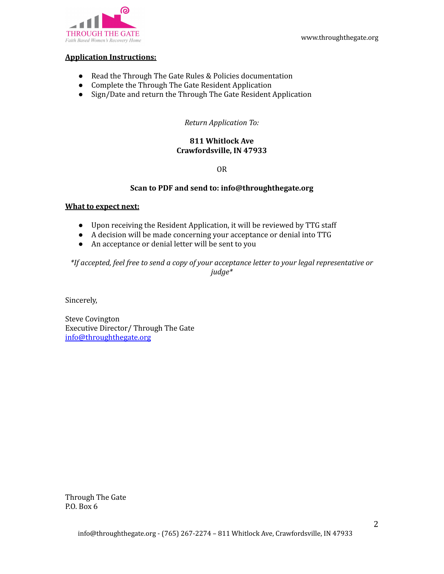

#### **Application Instructions:**

- Read the Through The Gate Rules & Policies documentation
- Complete the Through The Gate Resident Application
- Sign/Date and return the Through The Gate Resident Application

### *Return Application To:*

### **811 Whitlock Ave Crawfordsville, IN 47933**

### OR

### **Scan to PDF and send to: info@throughthegate.org**

#### **What to expect next:**

- Upon receiving the Resident Application, it will be reviewed by TTG staff
- A decision will be made concerning your acceptance or denial into TTG
- An acceptance or denial letter will be sent to you

*\*If accepted, feel free to send a copy of your acceptance letter to your legal representative or judge\**

Sincerely,

Steve Covington Executive Director/ Through The Gate [info@throughthegate.org](mailto:info@throughthegate.org)

Through The Gate P.O. Box 6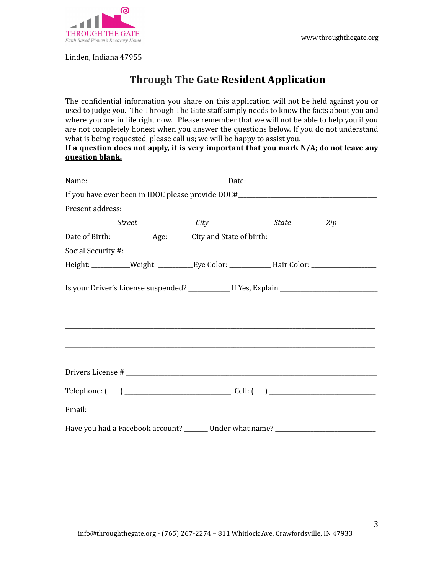

Linden, Indiana 47955

# **Through The Gate Resident Application**

The confidential information you share on this application will not be held against you or used to judge you. The Through The Gate staff simply needs to know the facts about you and where you are in life right now. Please remember that we will not be able to help you if you are not completely honest when you answer the questions below. If you do not understand what is being requested, please call us; we will be happy to assist you.

**If a question does not apply, it is very important that you mark N/A; do not leave any question blank.**

|                                         |             | If you have ever been in IDOC please provide DOC#_______________________________                     |     |
|-----------------------------------------|-------------|------------------------------------------------------------------------------------------------------|-----|
|                                         |             |                                                                                                      |     |
| <i>Street</i>                           | <i>City</i> | <i>State</i>                                                                                         | Zip |
|                                         |             | Date of Birth: _____________ Age: ______ City and State of birth: __________________________________ |     |
| Social Security #: ____________________ |             |                                                                                                      |     |
|                                         |             | Height: ___________Weight: ___________Eye Color: _______________Hair Color: _______________________  |     |
|                                         |             |                                                                                                      |     |
|                                         |             |                                                                                                      |     |
|                                         |             |                                                                                                      |     |
|                                         |             |                                                                                                      |     |
|                                         |             | Have you had a Facebook account? _______ Under what name? _______________________                    |     |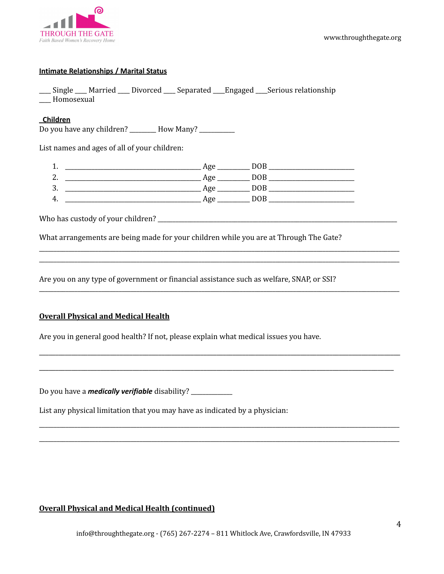

### **Intimate Relationships / Marital Status**

\_\_\_\_ Single \_\_\_\_ Married \_\_\_\_ Divorced \_\_\_\_ Separated \_\_\_\_Engaged \_\_\_\_Serious relationship \_\_\_\_ Homosexual

### **Children**

Do you have any children? \_\_\_\_\_\_\_\_\_ How Many? \_\_\_\_\_\_\_\_\_\_\_

List names and ages of all of your children:

| . .      | σ.            |  |
|----------|---------------|--|
| <u>.</u> | $\sigma$<br>о |  |
| . ب      | ø<br>c        |  |
| . .      | σ<br>c        |  |

\_\_\_\_\_\_\_\_\_\_\_\_\_\_\_\_\_\_\_\_\_\_\_\_\_\_\_\_\_\_\_\_\_\_\_\_\_\_\_\_\_\_\_\_\_\_\_\_\_\_\_\_\_\_\_\_\_\_\_\_\_\_\_\_\_\_\_\_\_\_\_\_\_\_\_\_\_\_\_\_\_\_\_\_\_\_\_\_\_\_\_\_\_\_\_\_\_\_\_\_\_\_\_\_\_\_\_\_\_\_\_\_\_\_\_\_\_\_\_\_\_\_ \_\_\_\_\_\_\_\_\_\_\_\_\_\_\_\_\_\_\_\_\_\_\_\_\_\_\_\_\_\_\_\_\_\_\_\_\_\_\_\_\_\_\_\_\_\_\_\_\_\_\_\_\_\_\_\_\_\_\_\_\_\_\_\_\_\_\_\_\_\_\_\_\_\_\_\_\_\_\_\_\_\_\_\_\_\_\_\_\_\_\_\_\_\_\_\_\_\_\_\_\_\_\_\_\_\_\_\_\_\_\_\_\_\_\_\_\_\_\_\_\_\_

\_\_\_\_\_\_\_\_\_\_\_\_\_\_\_\_\_\_\_\_\_\_\_\_\_\_\_\_\_\_\_\_\_\_\_\_\_\_\_\_\_\_\_\_\_\_\_\_\_\_\_\_\_\_\_\_\_\_\_\_\_\_\_\_\_\_\_\_\_\_\_\_\_\_\_\_\_\_\_\_\_\_\_\_\_\_\_\_\_\_\_\_\_\_\_\_\_\_\_\_\_\_\_\_\_\_\_\_\_\_\_\_\_\_\_\_\_\_\_\_\_\_

\_\_\_\_\_\_\_\_\_\_\_\_\_\_\_\_\_\_\_\_\_\_\_\_\_\_\_\_\_\_\_\_\_\_\_\_\_\_\_\_\_\_\_\_\_\_\_\_\_\_\_\_\_\_\_\_\_\_\_\_\_\_\_\_\_\_\_\_\_\_\_\_\_\_\_\_\_\_\_\_\_\_\_\_\_\_\_\_\_\_\_\_\_\_\_\_\_\_\_\_\_\_\_\_\_\_\_\_\_\_\_\_

\_\_\_\_\_\_\_\_\_\_\_\_\_\_\_\_\_\_\_\_\_\_\_\_\_\_\_\_\_\_\_\_\_\_\_\_\_\_\_\_\_\_\_\_\_\_\_\_\_\_\_\_\_\_\_\_\_\_\_\_\_\_\_\_\_\_\_\_\_\_\_\_\_\_\_\_\_\_\_\_\_\_\_\_\_\_\_\_\_\_\_\_\_\_\_\_\_\_\_\_\_\_\_\_\_\_\_\_\_\_

\_\_\_\_\_\_\_\_\_\_\_\_\_\_\_\_\_\_\_\_\_\_\_\_\_\_\_\_\_\_\_\_\_\_\_\_\_\_\_\_\_\_\_\_\_\_\_\_\_\_\_\_\_\_\_\_\_\_\_\_\_\_\_\_\_\_\_\_\_\_\_\_\_\_\_\_\_\_\_\_\_\_\_\_\_\_\_\_\_\_\_\_\_\_\_\_\_\_\_\_\_\_\_\_\_\_\_\_\_\_\_\_\_\_\_\_\_\_\_\_\_\_ \_\_\_\_\_\_\_\_\_\_\_\_\_\_\_\_\_\_\_\_\_\_\_\_\_\_\_\_\_\_\_\_\_\_\_\_\_\_\_\_\_\_\_\_\_\_\_\_\_\_\_\_\_\_\_\_\_\_\_\_\_\_\_\_\_\_\_\_\_\_\_\_\_\_\_\_\_\_\_\_\_\_\_\_\_\_\_\_\_\_\_\_\_\_\_\_\_\_\_\_\_\_\_\_\_\_\_\_\_\_\_\_\_\_\_\_\_\_\_\_\_\_

Who has custody of your children? \_\_\_\_\_\_\_\_\_\_\_\_\_\_\_\_\_\_\_\_\_\_\_\_\_\_\_\_\_\_\_\_\_\_\_\_\_\_\_\_\_\_\_\_\_\_\_\_\_\_\_\_\_\_\_\_\_\_\_\_\_\_\_\_\_\_\_\_\_\_\_\_\_\_\_\_\_\_\_\_\_

What arrangements are being made for your children while you are at Through The Gate?

Are you on any type of government or financial assistance such as welfare, SNAP, or SSI?

### **Overall Physical and Medical Health**

Are you in general good health? If not, please explain what medical issues you have.

Do you have a *medically verifiable* disability? \_\_\_\_\_\_\_\_\_\_\_\_\_\_

List any physical limitation that you may have as indicated by a physician:

### **Overall Physical and Medical Health (continued)**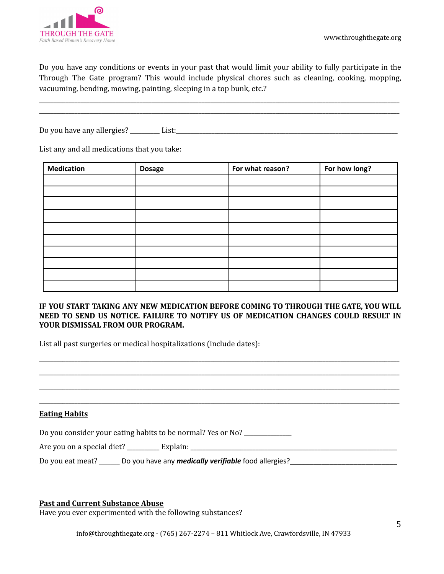

Do you have any conditions or events in your past that would limit your ability to fully participate in the Through The Gate program? This would include physical chores such as cleaning, cooking, mopping, vacuuming, bending, mowing, painting, sleeping in a top bunk, etc.?

\_\_\_\_\_\_\_\_\_\_\_\_\_\_\_\_\_\_\_\_\_\_\_\_\_\_\_\_\_\_\_\_\_\_\_\_\_\_\_\_\_\_\_\_\_\_\_\_\_\_\_\_\_\_\_\_\_\_\_\_\_\_\_\_\_\_\_\_\_\_\_\_\_\_\_\_\_\_\_\_\_\_\_\_\_\_\_\_\_\_\_\_\_\_\_\_\_\_\_\_\_\_\_\_\_\_\_\_\_\_\_\_\_\_\_\_\_\_\_\_\_\_ \_\_\_\_\_\_\_\_\_\_\_\_\_\_\_\_\_\_\_\_\_\_\_\_\_\_\_\_\_\_\_\_\_\_\_\_\_\_\_\_\_\_\_\_\_\_\_\_\_\_\_\_\_\_\_\_\_\_\_\_\_\_\_\_\_\_\_\_\_\_\_\_\_\_\_\_\_\_\_\_\_\_\_\_\_\_\_\_\_\_\_\_\_\_\_\_\_\_\_\_\_\_\_\_\_\_\_\_\_\_\_\_\_\_\_\_\_\_\_\_\_\_

Do you have any allergies? \_\_\_\_\_\_\_\_\_\_ List:\_\_\_\_\_\_\_\_\_\_\_\_\_\_\_\_\_\_\_\_\_\_\_\_\_\_\_\_\_\_\_\_\_\_\_\_\_\_\_\_\_\_\_\_\_\_\_\_\_\_\_\_\_\_\_\_\_\_\_\_\_\_\_\_\_\_\_\_\_\_\_\_\_\_\_

List any and all medications that you take:

| <b>Medication</b> | <b>Dosage</b> | For what reason? | For how long? |
|-------------------|---------------|------------------|---------------|
|                   |               |                  |               |
|                   |               |                  |               |
|                   |               |                  |               |
|                   |               |                  |               |
|                   |               |                  |               |
|                   |               |                  |               |
|                   |               |                  |               |
|                   |               |                  |               |
|                   |               |                  |               |
|                   |               |                  |               |

### **IF YOU START TAKING ANY NEW MEDICATION BEFORE COMING TO THROUGH THE GATE, YOU WILL NEED TO SEND US NOTICE. FAILURE TO NOTIFY US OF MEDICATION CHANGES COULD RESULT IN YOUR DISMISSAL FROM OUR PROGRAM.**

\_\_\_\_\_\_\_\_\_\_\_\_\_\_\_\_\_\_\_\_\_\_\_\_\_\_\_\_\_\_\_\_\_\_\_\_\_\_\_\_\_\_\_\_\_\_\_\_\_\_\_\_\_\_\_\_\_\_\_\_\_\_\_\_\_\_\_\_\_\_\_\_\_\_\_\_\_\_\_\_\_\_\_\_\_\_\_\_\_\_\_\_\_\_\_\_\_\_\_\_\_\_\_\_\_\_\_\_\_\_\_\_\_\_\_\_\_\_\_\_\_\_ \_\_\_\_\_\_\_\_\_\_\_\_\_\_\_\_\_\_\_\_\_\_\_\_\_\_\_\_\_\_\_\_\_\_\_\_\_\_\_\_\_\_\_\_\_\_\_\_\_\_\_\_\_\_\_\_\_\_\_\_\_\_\_\_\_\_\_\_\_\_\_\_\_\_\_\_\_\_\_\_\_\_\_\_\_\_\_\_\_\_\_\_\_\_\_\_\_\_\_\_\_\_\_\_\_\_\_\_\_\_\_\_\_\_\_\_\_\_\_\_\_\_ \_\_\_\_\_\_\_\_\_\_\_\_\_\_\_\_\_\_\_\_\_\_\_\_\_\_\_\_\_\_\_\_\_\_\_\_\_\_\_\_\_\_\_\_\_\_\_\_\_\_\_\_\_\_\_\_\_\_\_\_\_\_\_\_\_\_\_\_\_\_\_\_\_\_\_\_\_\_\_\_\_\_\_\_\_\_\_\_\_\_\_\_\_\_\_\_\_\_\_\_\_\_\_\_\_\_\_\_\_\_\_\_\_\_\_\_\_\_\_\_\_\_ \_\_\_\_\_\_\_\_\_\_\_\_\_\_\_\_\_\_\_\_\_\_\_\_\_\_\_\_\_\_\_\_\_\_\_\_\_\_\_\_\_\_\_\_\_\_\_\_\_\_\_\_\_\_\_\_\_\_\_\_\_\_\_\_\_\_\_\_\_\_\_\_\_\_\_\_\_\_\_\_\_\_\_\_\_\_\_\_\_\_\_\_\_\_\_\_\_\_\_\_\_\_\_\_\_\_\_\_\_\_\_\_\_\_\_\_\_\_\_\_\_\_

List all past surgeries or medical hospitalizations (include dates):

#### **Eating Habits**

Do you consider your eating habits to be normal? Yes or No? \_\_\_\_\_\_\_\_\_\_\_\_\_\_

Are you on a special diet? \_\_\_\_\_\_\_\_\_\_\_ Explain: \_\_\_\_\_\_\_\_\_\_\_\_\_\_\_\_\_\_\_\_\_\_\_\_\_\_\_\_\_\_\_\_\_\_\_\_\_\_\_\_\_\_\_\_\_\_\_\_\_\_\_\_\_\_\_\_\_\_\_\_\_\_\_\_\_\_\_\_\_\_

Do you eat meat? \_\_\_\_\_\_ Do you have any *medically verifiable* food allergies? \_\_\_\_\_\_\_\_\_\_\_\_\_\_\_\_\_\_\_\_\_\_\_\_\_\_\_\_\_\_\_\_\_

#### **Past and Current Substance Abuse**

Have you ever experimented with the following substances?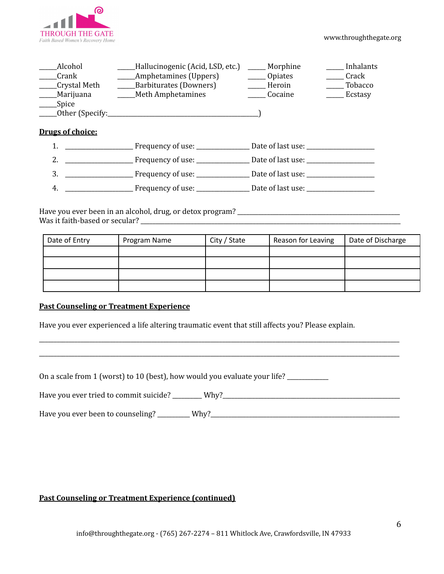

| Alcohol         | Hallucinogenic (Acid, LSD, etc.) | Morphine | Inhalants |
|-----------------|----------------------------------|----------|-----------|
| Crank           | Amphetamines (Uppers)            | Opiates  | Crack     |
| Crystal Meth    | Barbiturates (Downers)           | Heroin   | Tobacco   |
| Marijuana       | <b>Meth Amphetamines</b>         | Cocaine  | Ecstasy   |
| Spice           |                                  |          |           |
| Other (Specify: |                                  |          |           |

### **Drugs of choice:**

|              | Frequency of use: | Date of last use: |
|--------------|-------------------|-------------------|
|              | Frequency of use: | Date of last use: |
| $\mathbf{3}$ | Frequency of use: | Date of last use: |
| 4.           | Frequency of use: | Date of last use: |
|              |                   |                   |

Have you ever been in an alcohol, drug, or detox program? \_\_\_\_\_\_\_\_\_\_\_\_\_\_\_\_\_\_\_\_\_\_\_\_\_\_\_\_\_\_\_\_\_\_\_\_\_\_\_\_\_\_\_\_\_\_\_\_\_\_\_\_\_\_\_ Was it faith-based or secular? \_\_\_\_\_\_\_\_\_\_\_\_\_\_\_\_\_\_\_\_\_\_\_\_\_\_\_\_\_\_\_\_\_\_\_\_\_\_\_\_\_\_\_\_\_\_\_\_\_\_\_\_\_\_\_\_\_\_\_\_\_\_\_\_\_\_\_\_\_\_\_\_\_\_\_\_\_\_\_\_\_\_\_\_\_\_\_\_

| Date of Entry | Program Name | City / State | Reason for Leaving | Date of Discharge |
|---------------|--------------|--------------|--------------------|-------------------|
|               |              |              |                    |                   |
|               |              |              |                    |                   |
|               |              |              |                    |                   |
|               |              |              |                    |                   |

### **Past Counseling or Treatment Experience**

Have you ever experienced a life altering traumatic event that still affects you? Please explain.

On a scale from 1 (worst) to 10 (best), how would you evaluate your life? \_\_\_\_\_\_\_\_\_\_\_\_

Have you ever tried to commit suicide? \_\_\_\_\_\_\_\_\_\_ Why?\_\_\_\_\_\_\_\_\_\_\_\_\_\_\_\_\_\_\_\_\_\_\_\_\_\_\_\_\_\_\_\_\_\_\_\_\_\_\_\_\_\_\_\_\_\_\_\_\_\_\_\_\_\_\_\_\_\_\_\_

\_\_\_\_\_\_\_\_\_\_\_\_\_\_\_\_\_\_\_\_\_\_\_\_\_\_\_\_\_\_\_\_\_\_\_\_\_\_\_\_\_\_\_\_\_\_\_\_\_\_\_\_\_\_\_\_\_\_\_\_\_\_\_\_\_\_\_\_\_\_\_\_\_\_\_\_\_\_\_\_\_\_\_\_\_\_\_\_\_\_\_\_\_\_\_\_\_\_\_\_\_\_\_\_\_\_\_\_\_\_\_\_\_\_\_\_\_\_\_\_\_\_ \_\_\_\_\_\_\_\_\_\_\_\_\_\_\_\_\_\_\_\_\_\_\_\_\_\_\_\_\_\_\_\_\_\_\_\_\_\_\_\_\_\_\_\_\_\_\_\_\_\_\_\_\_\_\_\_\_\_\_\_\_\_\_\_\_\_\_\_\_\_\_\_\_\_\_\_\_\_\_\_\_\_\_\_\_\_\_\_\_\_\_\_\_\_\_\_\_\_\_\_\_\_\_\_\_\_\_\_\_\_\_\_\_\_\_\_\_\_\_\_\_\_

Have you ever been to counseling? \_\_\_\_\_\_\_\_\_\_\_ Why?\_\_\_\_\_\_\_\_\_\_\_\_\_\_\_\_\_\_\_\_\_\_\_\_\_\_\_\_\_\_\_\_\_\_\_\_\_\_\_\_\_\_\_\_\_\_\_\_\_\_\_\_\_\_\_\_\_\_\_\_\_\_\_\_

### **Past Counseling or Treatment Experience (continued)**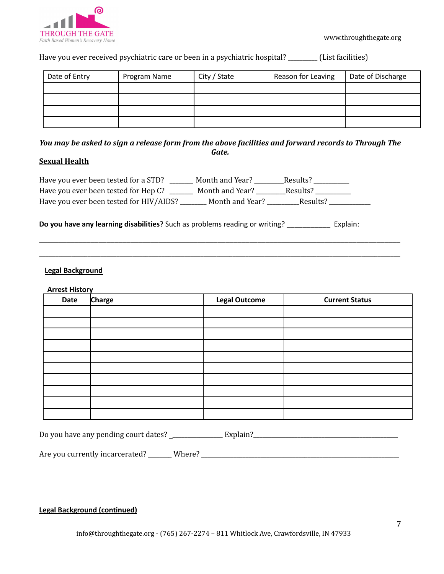

www.throughthegate.org

Have you ever received psychiatric care or been in a psychiatric hospital? \_\_\_\_\_\_\_\_\_\_ (List facilities)

| Date of Entry | Program Name | City / State | Reason for Leaving | Date of Discharge |
|---------------|--------------|--------------|--------------------|-------------------|
|               |              |              |                    |                   |
|               |              |              |                    |                   |
|               |              |              |                    |                   |
|               |              |              |                    |                   |

You may be asked to sign a release form from the above facilities and forward records to Through The *Gate.*

\_\_\_\_\_\_\_\_\_\_\_\_\_\_\_\_\_\_\_\_\_\_\_\_\_\_\_\_\_\_\_\_\_\_\_\_\_\_\_\_\_\_\_\_\_\_\_\_\_\_\_\_\_\_\_\_\_\_\_\_\_\_\_\_\_\_\_\_\_\_\_\_\_\_\_\_\_\_\_\_\_\_\_\_\_\_\_\_\_\_\_

\_\_\_\_\_\_\_\_\_\_\_\_\_\_\_\_\_\_\_\_\_\_\_\_\_\_\_\_\_\_\_\_\_\_\_\_\_\_\_\_\_\_\_\_\_\_\_\_\_\_\_\_\_\_\_\_\_\_\_\_\_\_\_\_\_\_\_\_\_\_\_\_\_\_\_\_\_\_\_\_\_\_\_\_\_\_\_\_\_\_\_\_\_\_\_\_\_\_\_\_\_\_\_\_\_\_\_\_\_\_\_\_

### **Sexual Health**

| Have you ever been tested for a STD?    | Month and Year? | Results? |  |
|-----------------------------------------|-----------------|----------|--|
| Have you ever been tested for Hep C?    | Month and Year? | Results? |  |
| Have you ever been tested for HIV/AIDS? | Month and Year? | Results? |  |

**Do you have any learning disabilities**? Such as problems reading or writing? \_\_\_\_\_\_\_\_\_\_\_ Explain:

### **Legal Background**

#### **Arrest History**

| Date | Charge | <b>Legal Outcome</b> | <b>Current Status</b> |
|------|--------|----------------------|-----------------------|
|      |        |                      |                       |
|      |        |                      |                       |
|      |        |                      |                       |
|      |        |                      |                       |
|      |        |                      |                       |
|      |        |                      |                       |
|      |        |                      |                       |
|      |        |                      |                       |
|      |        |                      |                       |
|      |        |                      |                       |

| Do you have any pending court dates? |  |
|--------------------------------------|--|
|--------------------------------------|--|

Are you currently incarcerated? \_\_\_\_\_\_\_\_ Where? \_\_\_\_\_\_\_\_\_\_\_\_\_\_\_\_\_\_\_\_\_\_\_\_\_\_\_\_\_\_\_\_\_\_\_\_\_\_\_\_\_\_\_\_\_\_\_\_\_\_\_\_\_\_\_\_\_\_\_\_\_\_\_\_\_\_\_

### **Legal Background (continued)**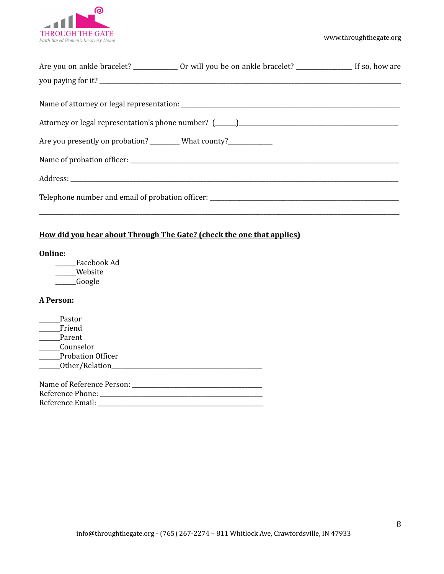

|                                                                     | Are you on ankle bracelet? _______________ Or will you be on ankle bracelet? _______________________ If so, how are |  |
|---------------------------------------------------------------------|---------------------------------------------------------------------------------------------------------------------|--|
|                                                                     |                                                                                                                     |  |
|                                                                     |                                                                                                                     |  |
|                                                                     |                                                                                                                     |  |
|                                                                     |                                                                                                                     |  |
|                                                                     |                                                                                                                     |  |
| Are you presently on probation? _________ What county?_____________ |                                                                                                                     |  |
|                                                                     |                                                                                                                     |  |
|                                                                     |                                                                                                                     |  |
|                                                                     |                                                                                                                     |  |
|                                                                     |                                                                                                                     |  |

## **How did you hear about Through The Gate? (check the one that applies)**

### **Online:**

\_\_\_\_\_\_\_Facebook Ad \_\_\_\_\_\_\_Website \_\_\_\_\_\_\_Google

### **A Person:**

| Pastor                       |
|------------------------------|
| Friend                       |
| Parent                       |
| Counselor                    |
| <b>Probation Officer</b>     |
| ________Other/Relation_____  |
|                              |
| Name of Reference Person: __ |
| Reference Phone:             |
| Reference Email:             |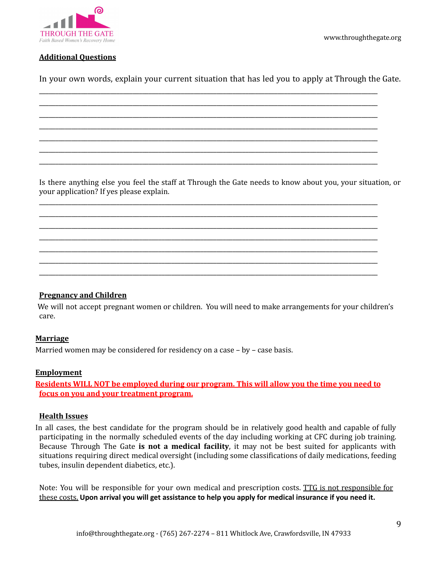

www.throughthegate.org

### **Additional Questions**

In your own words, explain your current situation that has led you to apply at Through the Gate.

\_\_\_\_\_\_\_\_\_\_\_\_\_\_\_\_\_\_\_\_\_\_\_\_\_\_\_\_\_\_\_\_\_\_\_\_\_\_\_\_\_\_\_\_\_\_\_\_\_\_\_\_\_\_\_\_\_\_\_\_\_\_\_\_\_\_\_\_\_\_\_\_\_\_\_\_\_\_\_\_\_\_\_\_\_\_\_\_\_\_\_\_\_\_\_\_\_\_\_\_\_\_\_\_\_ \_\_\_\_\_\_\_\_\_\_\_\_\_\_\_\_\_\_\_\_\_\_\_\_\_\_\_\_\_\_\_\_\_\_\_\_\_\_\_\_\_\_\_\_\_\_\_\_\_\_\_\_\_\_\_\_\_\_\_\_\_\_\_\_\_\_\_\_\_\_\_\_\_\_\_\_\_\_\_\_\_\_\_\_\_\_\_\_\_\_\_\_\_\_\_\_\_\_\_\_\_\_\_\_\_ \_\_\_\_\_\_\_\_\_\_\_\_\_\_\_\_\_\_\_\_\_\_\_\_\_\_\_\_\_\_\_\_\_\_\_\_\_\_\_\_\_\_\_\_\_\_\_\_\_\_\_\_\_\_\_\_\_\_\_\_\_\_\_\_\_\_\_\_\_\_\_\_\_\_\_\_\_\_\_\_\_\_\_\_\_\_\_\_\_\_\_\_\_\_\_\_\_\_\_\_\_\_\_\_\_ \_\_\_\_\_\_\_\_\_\_\_\_\_\_\_\_\_\_\_\_\_\_\_\_\_\_\_\_\_\_\_\_\_\_\_\_\_\_\_\_\_\_\_\_\_\_\_\_\_\_\_\_\_\_\_\_\_\_\_\_\_\_\_\_\_\_\_\_\_\_\_\_\_\_\_\_\_\_\_\_\_\_\_\_\_\_\_\_\_\_\_\_\_\_\_\_\_\_\_\_\_\_\_\_\_ \_\_\_\_\_\_\_\_\_\_\_\_\_\_\_\_\_\_\_\_\_\_\_\_\_\_\_\_\_\_\_\_\_\_\_\_\_\_\_\_\_\_\_\_\_\_\_\_\_\_\_\_\_\_\_\_\_\_\_\_\_\_\_\_\_\_\_\_\_\_\_\_\_\_\_\_\_\_\_\_\_\_\_\_\_\_\_\_\_\_\_\_\_\_\_\_\_\_\_\_\_\_\_\_\_ \_\_\_\_\_\_\_\_\_\_\_\_\_\_\_\_\_\_\_\_\_\_\_\_\_\_\_\_\_\_\_\_\_\_\_\_\_\_\_\_\_\_\_\_\_\_\_\_\_\_\_\_\_\_\_\_\_\_\_\_\_\_\_\_\_\_\_\_\_\_\_\_\_\_\_\_\_\_\_\_\_\_\_\_\_\_\_\_\_\_\_\_\_\_\_\_\_\_\_\_\_\_\_\_\_ \_\_\_\_\_\_\_\_\_\_\_\_\_\_\_\_\_\_\_\_\_\_\_\_\_\_\_\_\_\_\_\_\_\_\_\_\_\_\_\_\_\_\_\_\_\_\_\_\_\_\_\_\_\_\_\_\_\_\_\_\_\_\_\_\_\_\_\_\_\_\_\_\_\_\_\_\_\_\_\_\_\_\_\_\_\_\_\_\_\_\_\_\_\_\_\_\_\_\_\_\_\_\_\_\_

Is there anything else you feel the staff at Through the Gate needs to know about you, your situation, or your application? If yes please explain.

\_\_\_\_\_\_\_\_\_\_\_\_\_\_\_\_\_\_\_\_\_\_\_\_\_\_\_\_\_\_\_\_\_\_\_\_\_\_\_\_\_\_\_\_\_\_\_\_\_\_\_\_\_\_\_\_\_\_\_\_\_\_\_\_\_\_\_\_\_\_\_\_\_\_\_\_\_\_\_\_\_\_\_\_\_\_\_\_\_\_\_\_\_\_\_\_\_\_\_\_\_\_\_\_\_ \_\_\_\_\_\_\_\_\_\_\_\_\_\_\_\_\_\_\_\_\_\_\_\_\_\_\_\_\_\_\_\_\_\_\_\_\_\_\_\_\_\_\_\_\_\_\_\_\_\_\_\_\_\_\_\_\_\_\_\_\_\_\_\_\_\_\_\_\_\_\_\_\_\_\_\_\_\_\_\_\_\_\_\_\_\_\_\_\_\_\_\_\_\_\_\_\_\_\_\_\_\_\_\_\_ \_\_\_\_\_\_\_\_\_\_\_\_\_\_\_\_\_\_\_\_\_\_\_\_\_\_\_\_\_\_\_\_\_\_\_\_\_\_\_\_\_\_\_\_\_\_\_\_\_\_\_\_\_\_\_\_\_\_\_\_\_\_\_\_\_\_\_\_\_\_\_\_\_\_\_\_\_\_\_\_\_\_\_\_\_\_\_\_\_\_\_\_\_\_\_\_\_\_\_\_\_\_\_\_\_ \_\_\_\_\_\_\_\_\_\_\_\_\_\_\_\_\_\_\_\_\_\_\_\_\_\_\_\_\_\_\_\_\_\_\_\_\_\_\_\_\_\_\_\_\_\_\_\_\_\_\_\_\_\_\_\_\_\_\_\_\_\_\_\_\_\_\_\_\_\_\_\_\_\_\_\_\_\_\_\_\_\_\_\_\_\_\_\_\_\_\_\_\_\_\_\_\_\_\_\_\_\_\_\_\_ \_\_\_\_\_\_\_\_\_\_\_\_\_\_\_\_\_\_\_\_\_\_\_\_\_\_\_\_\_\_\_\_\_\_\_\_\_\_\_\_\_\_\_\_\_\_\_\_\_\_\_\_\_\_\_\_\_\_\_\_\_\_\_\_\_\_\_\_\_\_\_\_\_\_\_\_\_\_\_\_\_\_\_\_\_\_\_\_\_\_\_\_\_\_\_\_\_\_\_\_\_\_\_\_\_ \_\_\_\_\_\_\_\_\_\_\_\_\_\_\_\_\_\_\_\_\_\_\_\_\_\_\_\_\_\_\_\_\_\_\_\_\_\_\_\_\_\_\_\_\_\_\_\_\_\_\_\_\_\_\_\_\_\_\_\_\_\_\_\_\_\_\_\_\_\_\_\_\_\_\_\_\_\_\_\_\_\_\_\_\_\_\_\_\_\_\_\_\_\_\_\_\_\_\_\_\_\_\_\_\_ \_\_\_\_\_\_\_\_\_\_\_\_\_\_\_\_\_\_\_\_\_\_\_\_\_\_\_\_\_\_\_\_\_\_\_\_\_\_\_\_\_\_\_\_\_\_\_\_\_\_\_\_\_\_\_\_\_\_\_\_\_\_\_\_\_\_\_\_\_\_\_\_\_\_\_\_\_\_\_\_\_\_\_\_\_\_\_\_\_\_\_\_\_\_\_\_\_\_\_\_\_\_\_\_\_

### **Pregnancy and Children**

We will not accept pregnant women or children. You will need to make arrangements for your children's care.

### **Marriage**

Married women may be considered for residency on a case – by – case basis.

#### **Employment**

**Residents WILL NOT be employed during our program. This will allow you the time you need to focus on you and your treatment program.**

### **Health Issues**

In all cases, the best candidate for the program should be in relatively good health and capable of fully participating in the normally scheduled events of the day including working at CFC during job training. Because Through The Gate **is not a medical facility**, it may not be best suited for applicants with situations requiring direct medical oversight (including some classifications of daily medications, feeding tubes, insulin dependent diabetics, etc.).

Note: You will be responsible for your own medical and prescription costs. TTG is not responsible for these costs. **Upon arrival you will get assistance to help you apply for medical insurance if you need it.**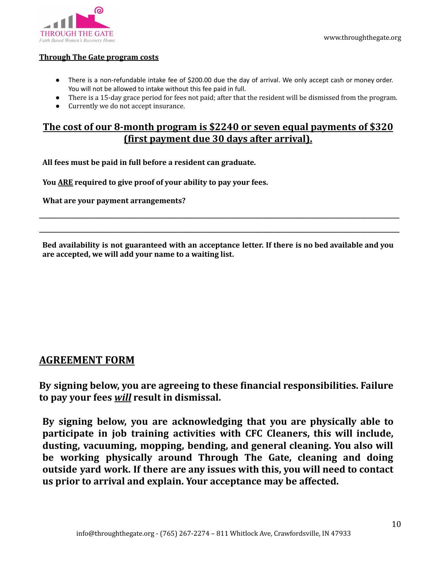

### **Through The Gate program costs**

- There is a non-refundable intake fee of \$200.00 due the day of arrival. We only accept cash or money order. You will not be allowed to intake without this fee paid in full.
- There is a 15-day grace period for fees not paid; after that the resident will be dismissed from the program.
- Currently we do not accept insurance.

# **The cost of our 8-month program is \$2240 or seven equal payments of \$320 (first payment due 30 days after arrival).**

**All fees must be paid in full before a resident can graduate.**

**You ARE required to give proof of your ability to pay your fees.**

**What are your payment arrangements?**

**Bed availability is not guaranteed with an acceptance letter. If there is no bed available and you are accepted, we will add your name to a waiting list.**

**\_\_\_\_\_\_\_\_\_\_\_\_\_\_\_\_\_\_\_\_\_\_\_\_\_\_\_\_\_\_\_\_\_\_\_\_\_\_\_\_\_\_\_\_\_\_\_\_\_\_\_\_\_\_\_\_\_\_\_\_\_\_\_\_\_\_\_\_\_\_\_\_\_\_\_\_\_\_\_\_\_\_\_\_\_\_\_\_\_\_\_\_\_\_\_\_\_\_\_\_\_\_\_\_\_\_\_\_\_\_\_\_\_\_\_\_\_\_\_\_\_\_ \_\_\_\_\_\_\_\_\_\_\_\_\_\_\_\_\_\_\_\_\_\_\_\_\_\_\_\_\_\_\_\_\_\_\_\_\_\_\_\_\_\_\_\_\_\_\_\_\_\_\_\_\_\_\_\_\_\_\_\_\_\_\_\_\_\_\_\_\_\_\_\_\_\_\_\_\_\_\_\_\_\_\_\_\_\_\_\_\_\_\_\_\_\_\_\_\_\_\_\_\_\_\_\_\_\_\_\_\_\_\_\_\_\_\_\_\_\_\_\_\_\_**

# **AGREEMENT FORM**

**By signing below, you are agreeing to these financial responsibilities. Failure to pay your fees** *will* **result in dismissal.**

**By signing below, you are acknowledging that you are physically able to participate in job training activities with CFC Cleaners, this will include, dusting, vacuuming, mopping, bending, and general cleaning. You also will be working physically around Through The Gate, cleaning and doing outside yard work. If there are any issues with this, you will need to contact us prior to arrival and explain. Your acceptance may be affected.**